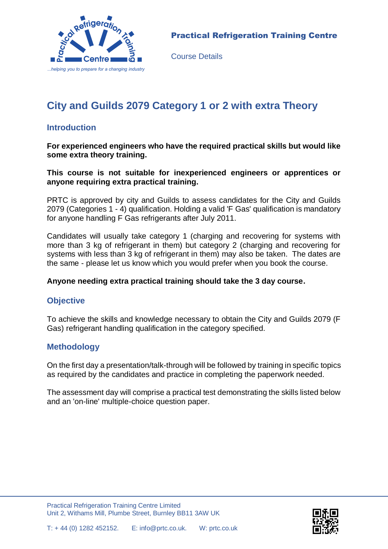

Course Details

# **City and Guilds 2079 Category 1 or 2 with extra Theory**

### **Introduction**

**For experienced engineers who have the required practical skills but would like some extra theory training.** 

**This course is not suitable for inexperienced engineers or apprentices or anyone requiring extra practical training.**

PRTC is approved by city and Guilds to assess candidates for the City and Guilds 2079 (Categories 1 - 4) qualification. Holding a valid 'F Gas' qualification is mandatory for anyone handling F Gas refrigerants after July 2011.

Candidates will usually take category 1 (charging and recovering for systems with more than 3 kg of refrigerant in them) but category 2 (charging and recovering for systems with less than 3 kg of refrigerant in them) may also be taken. The dates are the same - please let us know which you would prefer when you book the course.

#### **Anyone needing extra practical training should take the 3 day course.**

#### **Objective**

To achieve the skills and knowledge necessary to obtain the City and Guilds 2079 (F Gas) refrigerant handling qualification in the category specified.

#### **Methodology**

On the first day a presentation/talk-through will be followed by training in specific topics as required by the candidates and practice in completing the paperwork needed.

The assessment day will comprise a practical test demonstrating the skills listed below and an 'on-line' multiple-choice question paper.